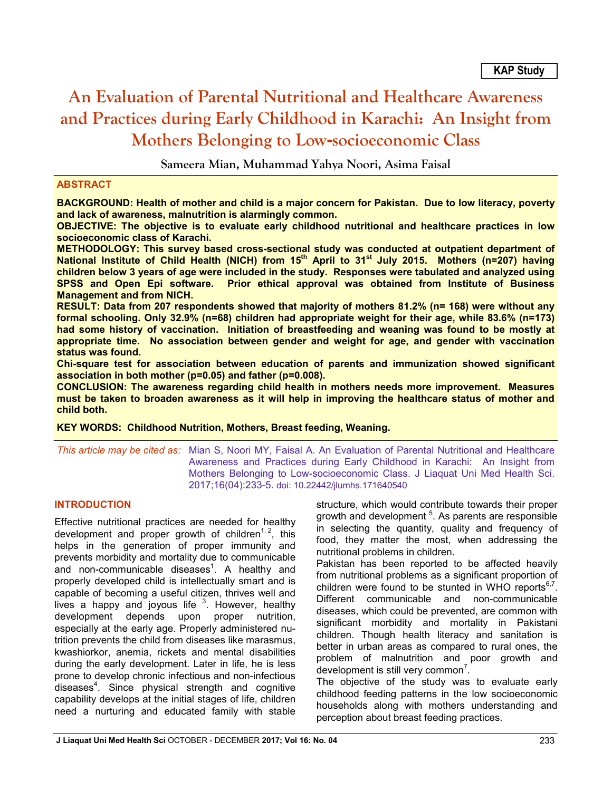# **An Evaluation of Parental Nutritional and Healthcare Awareness and Practices during Early Childhood in Karachi: An Insight from Mothers Belonging to Low-socioeconomic Class**

**Sameera Mian, Muhammad Yahya Noori, Asima Faisal**

## **ABSTRACT**

**BACKGROUND: Health of mother and child is a major concern for Pakistan. Due to low literacy, poverty and lack of awareness, malnutrition is alarmingly common.** 

**OBJECTIVE: The objective is to evaluate early childhood nutritional and healthcare practices in low socioeconomic class of Karachi.**

**METHODOLOGY: This survey based cross-sectional study was conducted at outpatient department of**  National Institute of Child Health (NICH) from 15<sup>th</sup> April to 31<sup>st</sup> July 2015. Mothers (n=207) having **children below 3 years of age were included in the study. Responses were tabulated and analyzed using SPSS and Open Epi software. Prior ethical approval was obtained from Institute of Business Management and from NICH.**

**RESULT: Data from 207 respondents showed that majority of mothers 81.2% (n= 168) were without any formal schooling. Only 32.9% (n=68) children had appropriate weight for their age, while 83.6% (n=173) had some history of vaccination. Initiation of breastfeeding and weaning was found to be mostly at appropriate time. No association between gender and weight for age, and gender with vaccination status was found.**

**Chi-square test for association between education of parents and immunization showed significant association in both mother (p=0.05) and father (p=0.008).**

**CONCLUSION: The awareness regarding child health in mothers needs more improvement. Measures must be taken to broaden awareness as it will help in improving the healthcare status of mother and child both.** 

**KEY WORDS: Childhood Nutrition, Mothers, Breast feeding, Weaning.**

*This article may be cited as:* Mian S, Noori MY, Faisal A. An Evaluation of Parental Nutritional and Healthcare Awareness and Practices during Early Childhood in Karachi: An Insight from Mothers Belonging to Low-socioeconomic Class. J Liaquat Uni Med Health Sci. 2017;16(04):233-5. doi: 10.22442/jlumhs.171640540

## **INTRODUCTION**

Effective nutritional practices are needed for healthy development and proper growth of children<sup>1, 2</sup>, this helps in the generation of proper immunity and prevents morbidity and mortality due to communicable and non-communicable diseases $1$ . A healthy and properly developed child is intellectually smart and is capable of becoming a useful citizen, thrives well and lives a happy and joyous life  $3$ . However, healthy development depends upon proper nutrition, especially at the early age. Properly administered nutrition prevents the child from diseases like marasmus, kwashiorkor, anemia, rickets and mental disabilities during the early development. Later in life, he is less prone to develop chronic infectious and non-infectious diseases<sup>4</sup>. Since physical strength and cognitive capability develops at the initial stages of life, children need a nurturing and educated family with stable

structure, which would contribute towards their proper growth and development <sup>5</sup>. As parents are responsible in selecting the quantity, quality and frequency of food, they matter the most, when addressing the nutritional problems in children.

Pakistan has been reported to be affected heavily from nutritional problems as a significant proportion of children were found to be stunted in WHO reports $6,7$ . Different communicable and non-communicable diseases, which could be prevented, are common with significant morbidity and mortality in Pakistani children. Though health literacy and sanitation is better in urban areas as compared to rural ones, the problem of malnutrition and poor growth and development is still very common $<sup>7</sup>$ .</sup>

The objective of the study was to evaluate early childhood feeding patterns in the low socioeconomic households along with mothers understanding and perception about breast feeding practices.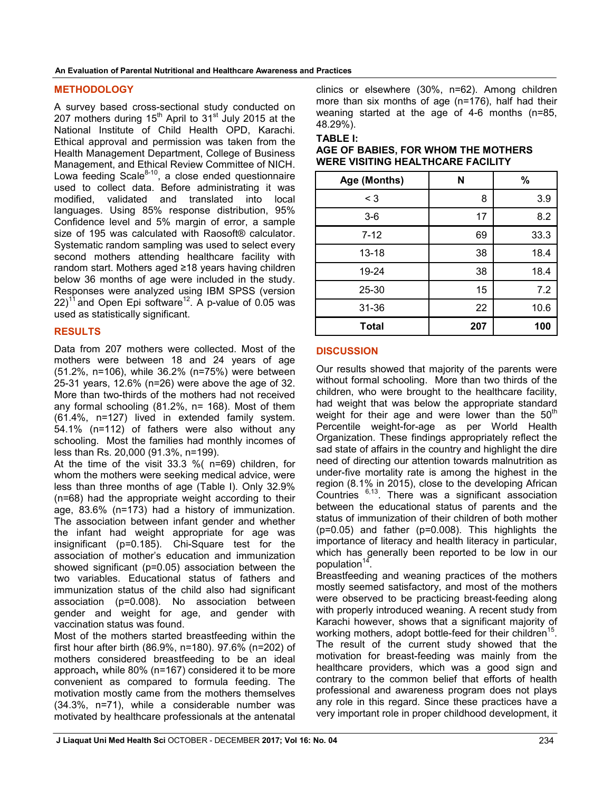**An Evaluation of Parental Nutritional and Healthcare Awareness and Practices**

## **METHODOLOGY**

A survey based cross-sectional study conducted on 207 mothers during  $15<sup>th</sup>$  April to  $31<sup>st</sup>$  July 2015 at the National Institute of Child Health OPD, Karachi. Ethical approval and permission was taken from the Health Management Department, College of Business Management, and Ethical Review Committee of NICH. Lowa feeding Scale $8-10$ , a close ended questionnaire used to collect data. Before administrating it was modified, validated and translated into local languages. Using 85% response distribution, 95% Confidence level and 5% margin of error, a sample size of 195 was calculated with Raosoft® calculator. Systematic random sampling was used to select every second mothers attending healthcare facility with random start. Mothers aged ≥18 years having children below 36 months of age were included in the study. Responses were analyzed using IBM SPSS (version  $22$ )<sup>11</sup> and Open Epi software<sup>12</sup>. A p-value of 0.05 was used as statistically significant.

## **RESULTS**

Data from 207 mothers were collected. Most of the mothers were between 18 and 24 years of age (51.2%, n=106), while 36.2% (n=75%) were between 25-31 years, 12.6% (n=26) were above the age of 32. More than two-thirds of the mothers had not received any formal schooling (81.2%, n= 168). Most of them (61.4%, n=127) lived in extended family system. 54.1% (n=112) of fathers were also without any schooling. Most the families had monthly incomes of less than Rs. 20,000 (91.3%, n=199).

At the time of the visit 33.3 %( n=69) children, for whom the mothers were seeking medical advice, were less than three months of age (Table I). Only 32.9% (n=68) had the appropriate weight according to their age, 83.6% (n=173) had a history of immunization. The association between infant gender and whether the infant had weight appropriate for age was insignificant (p=0.185). Chi-Square test for the association of mother's education and immunization showed significant (p=0.05) association between the two variables. Educational status of fathers and immunization status of the child also had significant association (p=0.008). No association between gender and weight for age, and gender with vaccination status was found.

Most of the mothers started breastfeeding within the first hour after birth (86.9%, n=180). 97.6% (n=202) of mothers considered breastfeeding to be an ideal approach**,** while 80% (n=167) considered it to be more convenient as compared to formula feeding. The motivation mostly came from the mothers themselves (34.3%, n=71), while a considerable number was motivated by healthcare professionals at the antenatal clinics or elsewhere (30%, n=62). Among children more than six months of age (n=176), half had their weaning started at the age of 4-6 months (n=85, 48.29%).

#### **TABLE I:**

| Age (Months) | N   | %    |
|--------------|-----|------|
| $\leq 3$     | 8   | 3.9  |
| $3-6$        | 17  | 8.2  |
| $7 - 12$     | 69  | 33.3 |
| $13 - 18$    | 38  | 18.4 |
| 19-24        | 38  | 18.4 |
| 25-30        | 15  | 7.2  |
| 31-36        | 22  | 10.6 |
| <b>Total</b> | 207 | 100  |

## **AGE OF BABIES, FOR WHOM THE MOTHERS WERE VISITING HEALTHCARE FACILITY**

## **DISCUSSION**

Our results showed that majority of the parents were without formal schooling. More than two thirds of the children, who were brought to the healthcare facility, had weight that was below the appropriate standard weight for their age and were lower than the  $50<sup>th</sup>$ Percentile weight-for-age as per World Health Organization. These findings appropriately reflect the sad state of affairs in the country and highlight the dire need of directing our attention towards malnutrition as under-five mortality rate is among the highest in the region (8.1% in 2015), close to the developing African Countries  $6,13$ . There was a significant association between the educational status of parents and the status of immunization of their children of both mother (p=0.05) and father (p=0.008). This highlights the importance of literacy and health literacy in particular, which has generally been reported to be low in our population<sup>14</sup>

Breastfeeding and weaning practices of the mothers mostly seemed satisfactory, and most of the mothers were observed to be practicing breast-feeding along with properly introduced weaning. A recent study from Karachi however, shows that a significant majority of working mothers, adopt bottle-feed for their children<sup>15</sup>. The result of the current study showed that the motivation for breast-feeding was mainly from the healthcare providers, which was a good sign and contrary to the common belief that efforts of health professional and awareness program does not plays any role in this regard. Since these practices have a very important role in proper childhood development, it